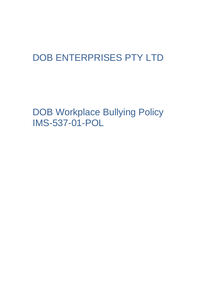## DOB ENTERPRISES PTY LTD

DOB Workplace Bullying Policy IMS-537-01-POL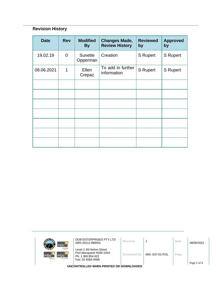## **Revision History**

| <b>Date</b> | <b>Rev</b>  | <b>Modified</b><br><b>By</b> | <b>Changes Made,</b><br><b>Review History</b> | <b>Reviewed</b><br>by | <b>Approved</b><br>by |
|-------------|-------------|------------------------------|-----------------------------------------------|-----------------------|-----------------------|
| 19.02.19    | $\mathbf 0$ | <b>Sunette</b><br>Opperman   | Creation                                      | <b>S</b> Rupert       | <b>S</b> Rupert       |
| 08.06.2021  | 1           | Ellen<br>Crepaz              | To add in further<br>information              | <b>S</b> Rupert       | <b>S</b> Rupert       |
|             |             |                              |                                               |                       |                       |
|             |             |                              |                                               |                       |                       |
|             |             |                              |                                               |                       |                       |
|             |             |                              |                                               |                       |                       |
|             |             |                              |                                               |                       |                       |
|             |             |                              |                                               |                       |                       |
|             |             |                              |                                               |                       |                       |

| mbc <sup>-</sup>                                                                     | DOB ENTERPRISES PTY LTD<br>ABN 20112 866001                                                   | Revision    |                 | Date | 08/06/2021  |  |  |
|--------------------------------------------------------------------------------------|-----------------------------------------------------------------------------------------------|-------------|-----------------|------|-------------|--|--|
| <b>Icloour hire</b><br>mbc <sup>1</sup><br>Imbc<br>m <sub>tc</sub><br>nursing agency | Level 1 49 Horton Street<br>Port Macquarie NSW 2444<br>Ph: 1 300 854 622<br>Fax: 02 6583 8468 | Document No | IMS -537-01-POL | Page |             |  |  |
|                                                                                      |                                                                                               |             |                 |      | Page 2 of 4 |  |  |
| UNCONTROLLED WHEN PRINTED OR DOWNLOADED                                              |                                                                                               |             |                 |      |             |  |  |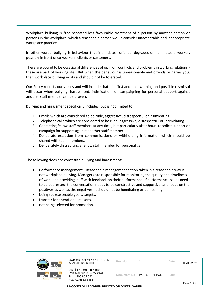Workplace bullying is "the repeated less favourable treatment of a person by another person or persons in the workplace, which a reasonable person would consider unacceptable and inappropriate workplace practice".

In other words, bullying is behaviour that intimidates, offends, degrades or humiliates a worker, possibly in front of co-workers, clients or customers.

There are bound to be occasional differences of opinion, conflicts and problems in working relations these are part of working life. But when the behaviour is unreasonable and offends or harms you, then workplace bullying exists and should not be tolerated.

Our Policy reflects our values and will include that of a first and final warning and possible dismissal will occur when bullying, harassment, intimidation, or campaigning for personal support against another staff member can be proven.

Bullying and harassment specifically includes, but is not limited to:

- 1. Emails which are considered to be rude, aggressive, disrespectful or intimidating.
- 2. Telephone calls which are considered to be rude, aggressive, disrespectful or intimidating.
- 3. Contacting fellow staff members at any time, but particularly after hours to solicit support or campaign for support against another staff member.
- 4. Deliberate exclusion from communications or withholding information which should be shared with team members.
- 5. Deliberately discrediting a fellow staff member for personal gain.

The following does not constitute bullying and harassment:

- Performance management Reasonable management action taken in a reasonable way is not workplace bullying. Managers are responsible for monitoring the quality and timeliness of work and providing staff with feedback on their performance. If performance issues need to be addressed, the conversation needs to be constructive and supportive, and focus on the positives as well as the negatives. It should not be humiliating or demeaning.
- being set reasonable goals/targets,
- transfer for operational reasons,
- not being selected for promotion.

| mbc <sup>-</sup>                                                              | DOB ENTERPRISES PTY LTD<br>ABN 20112 866001                                                   | Revision    |                 | Date | 08/06/2021  |  |
|-------------------------------------------------------------------------------|-----------------------------------------------------------------------------------------------|-------------|-----------------|------|-------------|--|
| <b>Inbour hire</b><br>mbc`<br>mbc<br>m <sub>tc</sub><br><b>TUrsing agency</b> | Level 1 49 Horton Street<br>Port Macquarie NSW 2444<br>Ph: 1 300 854 622<br>Fax: 02 6583 8468 | Document No | IMS -537-01-POL | Page |             |  |
|                                                                               |                                                                                               |             |                 |      | Page 3 of 4 |  |
| UNCONTROLLED WHEN PRINTED OR DOWNLOADED                                       |                                                                                               |             |                 |      |             |  |